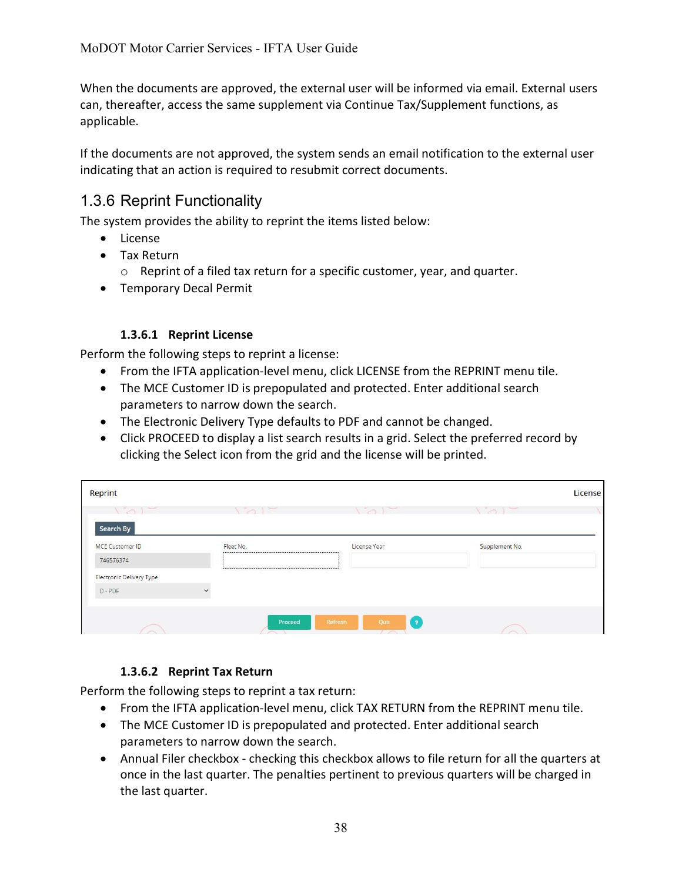When the documents are approved, the external user will be informed via email. External users can, thereafter, access the same supplement via Continue Tax/Supplement functions, as applicable.

If the documents are not approved, the system sends an email notification to the external user indicating that an action is required to resubmit correct documents.

# 1.3.6 Reprint Functionality

The system provides the ability to reprint the items listed below:

- License
- Tax Return
	- o Reprint of a filed tax return for a specific customer, year, and quarter.
- Temporary Decal Permit

### 1.3.6.1 Reprint License

Perform the following steps to reprint a license:

- From the IFTA application-level menu, click LICENSE from the REPRINT menu tile.
- The MCE Customer ID is prepopulated and protected. Enter additional search parameters to narrow down the search.
- The Electronic Delivery Type defaults to PDF and cannot be changed.
- Click PROCEED to display a list search results in a grid. Select the preferred record by clicking the Select icon from the grid and the license will be printed.

| $\sim$ 1  | $\sim$<br>$\sim$ | $\sim$ $\sim$                                                                                                 |
|-----------|------------------|---------------------------------------------------------------------------------------------------------------|
|           |                  |                                                                                                               |
| Fleet No. | License Year     | Supplement No.                                                                                                |
|           |                  |                                                                                                               |
|           |                  |                                                                                                               |
|           |                  |                                                                                                               |
|           |                  | N 1990 BEN 1990 BEN 1990 BEN 1990 BEN 1990 BEN 1990 BEN 1991 BEN 1991 BEN 1991 BEN 1991 BEN 1991 BEN 1991 BEN |

## 1.3.6.2 Reprint Tax Return

Perform the following steps to reprint a tax return:

- From the IFTA application-level menu, click TAX RETURN from the REPRINT menu tile.
- The MCE Customer ID is prepopulated and protected. Enter additional search parameters to narrow down the search.
- Annual Filer checkbox checking this checkbox allows to file return for all the quarters at once in the last quarter. The penalties pertinent to previous quarters will be charged in the last quarter.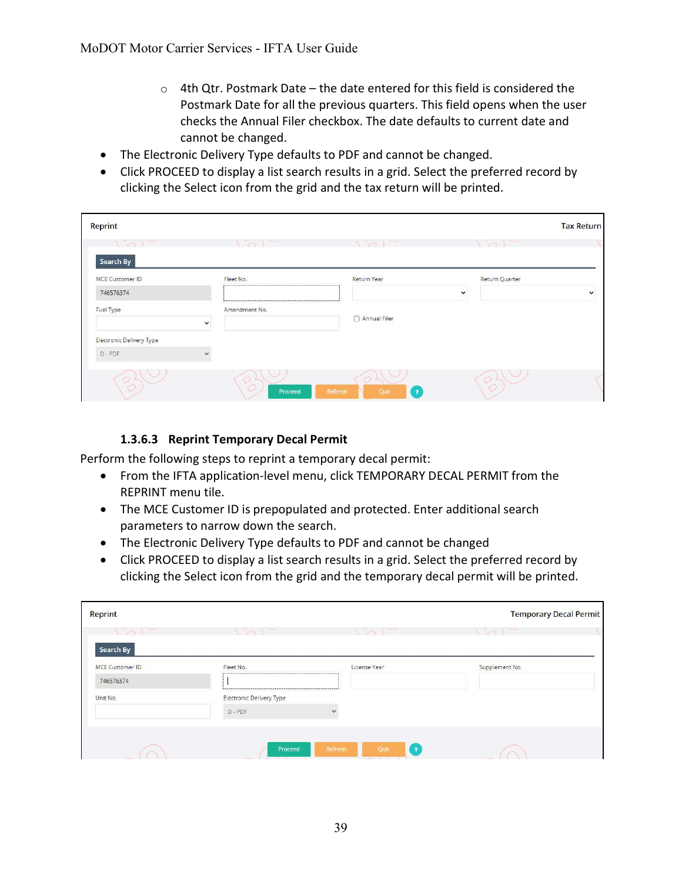- $\circ$  4th Qtr. Postmark Date the date entered for this field is considered the Postmark Date for all the previous quarters. This field opens when the user checks the Annual Filer checkbox. The date defaults to current date and cannot be changed.
- The Electronic Delivery Type defaults to PDF and cannot be changed.
- Click PROCEED to display a list search results in a grid. Select the preferred record by clicking the Select icon from the grid and the tax return will be printed.

| Reprint                             |                            |                                                                   |                     | <b>Tax Return</b> |
|-------------------------------------|----------------------------|-------------------------------------------------------------------|---------------------|-------------------|
|                                     |                            |                                                                   |                     |                   |
| Search By<br><b>MCE Customer ID</b> | Fleet No.                  | <b>Return Year</b>                                                | Return Quarter      |                   |
| 746576374                           |                            |                                                                   | $\checkmark$        | $\checkmark$      |
| Fuel Type                           | Amendment No.              | Annual Filer                                                      |                     |                   |
|                                     | $\checkmark$               |                                                                   |                     |                   |
| Electronic Delivery Type            |                            |                                                                   |                     |                   |
| $D - PDF$                           |                            |                                                                   |                     |                   |
| OL<br>u m                           | $\circ$ $\circ$<br>Proceed | $\bigcirc$ $\sqcup$<br>Refresh<br>$\overline{\mathbf{r}}$<br>Quit | O <sub>1</sub><br>Q |                   |

### 1.3.6.3 Reprint Temporary Decal Permit

Perform the following steps to reprint a temporary decal permit:

- From the IFTA application-level menu, click TEMPORARY DECAL PERMIT from the REPRINT menu tile.
- The MCE Customer ID is prepopulated and protected. Enter additional search parameters to narrow down the search.
- The Electronic Delivery Type defaults to PDF and cannot be changed
- Click PROCEED to display a list search results in a grid. Select the preferred record by clicking the Select icon from the grid and the temporary decal permit will be printed.

| Reprint                |                                 |                                             | <b>Temporary Decal Permit</b>               |
|------------------------|---------------------------------|---------------------------------------------|---------------------------------------------|
| $\sqrt{2}$             | $\sqrt{2}$                      | $\sim$<br>the control of the control of the | $\sim$<br>the control of the control of the |
| Search By              |                                 |                                             |                                             |
| <b>MCE Customer ID</b> | Fleet No.                       | License Year                                | Supplement No.                              |
| 746576374              |                                 |                                             |                                             |
| Unit No.               | <b>Electronic Delivery Type</b> |                                             |                                             |
|                        | D-PDF                           | $\ddot{}$                                   |                                             |
|                        |                                 |                                             |                                             |
|                        |                                 |                                             |                                             |
|                        | Proceed                         | Refresh<br>Quit<br>$\overline{a}$           |                                             |